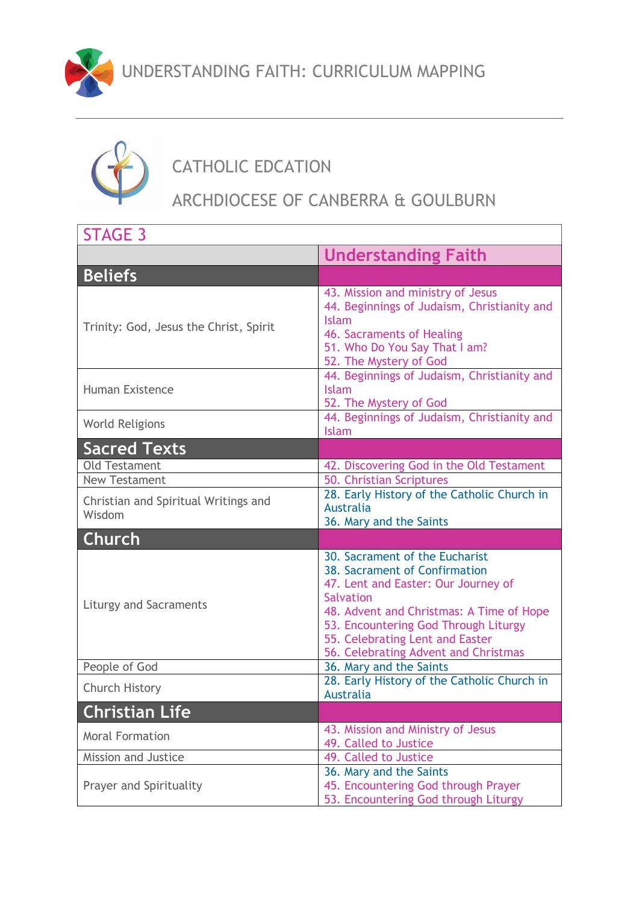



## CATHOLIC EDCATION

## ARCHDIOCESE OF CANBERRA & GOULBURN

| <b>STAGE 3</b>                                 |                                                                                                                                                                                                                                                                                           |
|------------------------------------------------|-------------------------------------------------------------------------------------------------------------------------------------------------------------------------------------------------------------------------------------------------------------------------------------------|
|                                                | <b>Understanding Faith</b>                                                                                                                                                                                                                                                                |
| <b>Beliefs</b>                                 |                                                                                                                                                                                                                                                                                           |
| Trinity: God, Jesus the Christ, Spirit         | 43. Mission and ministry of Jesus<br>44. Beginnings of Judaism, Christianity and<br>Islam<br>46. Sacraments of Healing<br>51. Who Do You Say That I am?<br>52. The Mystery of God                                                                                                         |
| <b>Human Existence</b>                         | 44. Beginnings of Judaism, Christianity and<br><b>Islam</b><br>52. The Mystery of God                                                                                                                                                                                                     |
| <b>World Religions</b>                         | 44. Beginnings of Judaism, Christianity and<br><b>Islam</b>                                                                                                                                                                                                                               |
| <b>Sacred Texts</b>                            |                                                                                                                                                                                                                                                                                           |
| <b>Old Testament</b><br><b>New Testament</b>   | 42. Discovering God in the Old Testament<br>50. Christian Scriptures                                                                                                                                                                                                                      |
| Christian and Spiritual Writings and<br>Wisdom | 28. Early History of the Catholic Church in<br><b>Australia</b><br>36. Mary and the Saints                                                                                                                                                                                                |
| <b>Church</b>                                  |                                                                                                                                                                                                                                                                                           |
| <b>Liturgy and Sacraments</b>                  | 30. Sacrament of the Eucharist<br>38. Sacrament of Confirmation<br>47. Lent and Easter: Our Journey of<br><b>Salvation</b><br>48. Advent and Christmas: A Time of Hope<br>53. Encountering God Through Liturgy<br>55. Celebrating Lent and Easter<br>56. Celebrating Advent and Christmas |
| People of God                                  | 36. Mary and the Saints                                                                                                                                                                                                                                                                   |
| Church History                                 | 28. Early History of the Catholic Church in<br><b>Australia</b>                                                                                                                                                                                                                           |
| <b>Christian Life</b>                          |                                                                                                                                                                                                                                                                                           |
| <b>Moral Formation</b>                         | 43. Mission and Ministry of Jesus<br>49. Called to Justice                                                                                                                                                                                                                                |
| Mission and Justice                            | 49. Called to Justice                                                                                                                                                                                                                                                                     |
| Prayer and Spirituality                        | 36. Mary and the Saints<br>45. Encountering God through Prayer<br>53. Encountering God through Liturgy                                                                                                                                                                                    |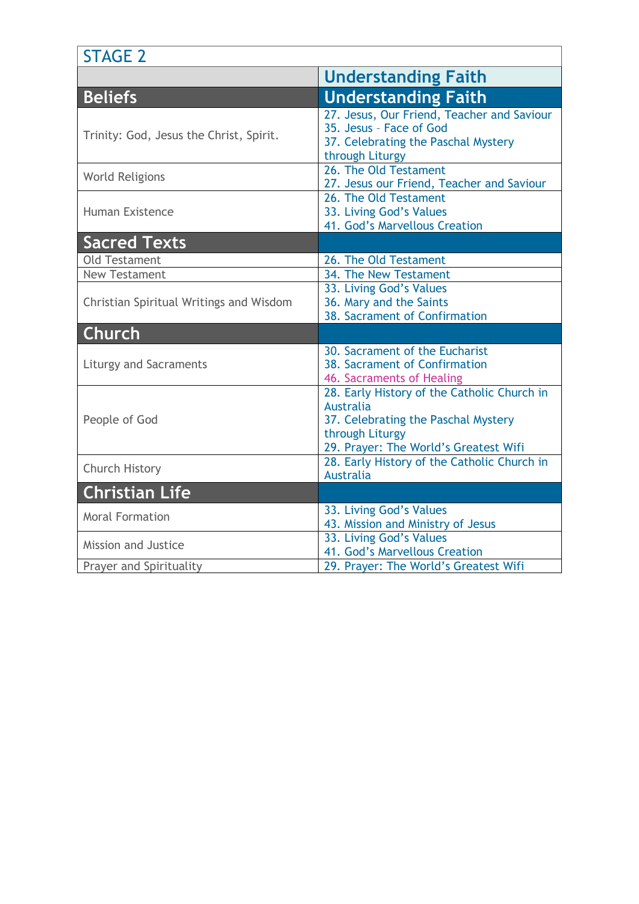| <b>STAGE 2</b>                          |                                                                                                                                                                    |  |
|-----------------------------------------|--------------------------------------------------------------------------------------------------------------------------------------------------------------------|--|
|                                         | <b>Understanding Faith</b>                                                                                                                                         |  |
| <b>Beliefs</b>                          | <b>Understanding Faith</b>                                                                                                                                         |  |
| Trinity: God, Jesus the Christ, Spirit. | 27. Jesus, Our Friend, Teacher and Saviour<br>35. Jesus - Face of God<br>37. Celebrating the Paschal Mystery<br>through Liturgy                                    |  |
| <b>World Religions</b>                  | 26. The Old Testament<br>27. Jesus our Friend, Teacher and Saviour                                                                                                 |  |
| <b>Human Existence</b>                  | 26. The Old Testament<br>33. Living God's Values<br>41. God's Marvellous Creation                                                                                  |  |
| <b>Sacred Texts</b>                     |                                                                                                                                                                    |  |
| <b>Old Testament</b>                    | 26. The Old Testament                                                                                                                                              |  |
| <b>New Testament</b>                    | 34. The New Testament                                                                                                                                              |  |
| Christian Spiritual Writings and Wisdom | 33. Living God's Values<br>36. Mary and the Saints<br>38. Sacrament of Confirmation                                                                                |  |
| <b>Church</b>                           |                                                                                                                                                                    |  |
| <b>Liturgy and Sacraments</b>           | 30. Sacrament of the Eucharist<br>38. Sacrament of Confirmation<br>46. Sacraments of Healing                                                                       |  |
| People of God                           | 28. Early History of the Catholic Church in<br><b>Australia</b><br>37. Celebrating the Paschal Mystery<br>through Liturgy<br>29. Prayer: The World's Greatest Wifi |  |
| Church History                          | 28. Early History of the Catholic Church in<br><b>Australia</b>                                                                                                    |  |
| <b>Christian Life</b>                   |                                                                                                                                                                    |  |
| <b>Moral Formation</b>                  | 33. Living God's Values<br>43. Mission and Ministry of Jesus                                                                                                       |  |
| Mission and Justice                     | 33. Living God's Values<br>41. God's Marvellous Creation                                                                                                           |  |
| Prayer and Spirituality                 | 29. Prayer: The World's Greatest Wifi                                                                                                                              |  |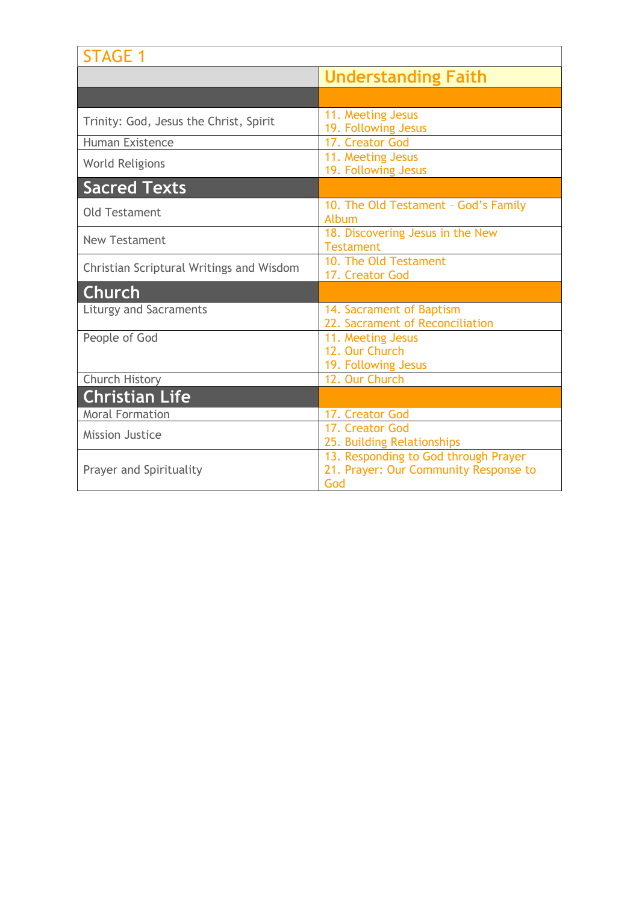| <b>STAGE 1</b>                           |                                                                                      |
|------------------------------------------|--------------------------------------------------------------------------------------|
|                                          | <b>Understanding Faith</b>                                                           |
|                                          |                                                                                      |
| Trinity: God, Jesus the Christ, Spirit   | 11. Meeting Jesus<br>19. Following Jesus                                             |
| <b>Human Existence</b>                   | 17. Creator God                                                                      |
| <b>World Religions</b>                   | 11. Meeting Jesus<br>19. Following Jesus                                             |
| <b>Sacred Texts</b>                      |                                                                                      |
| <b>Old Testament</b>                     | 10. The Old Testament - God's Family<br>Album                                        |
| <b>New Testament</b>                     | 18. Discovering Jesus in the New<br><b>Testament</b>                                 |
| Christian Scriptural Writings and Wisdom | 10. The Old Testament<br>17. Creator God                                             |
| Church                                   |                                                                                      |
| <b>Liturgy and Sacraments</b>            | 14. Sacrament of Baptism<br>22. Sacrament of Reconciliation                          |
| People of God                            | 11. Meeting Jesus<br>12. Our Church<br>19. Following Jesus                           |
| Church History                           | 12. Our Church                                                                       |
| <b>Christian Life</b>                    |                                                                                      |
| <b>Moral Formation</b>                   | 17. Creator God                                                                      |
| <b>Mission Justice</b>                   | 17. Creator God<br>25. Building Relationships                                        |
| <b>Prayer and Spirituality</b>           | 13. Responding to God through Prayer<br>21. Prayer: Our Community Response to<br>God |